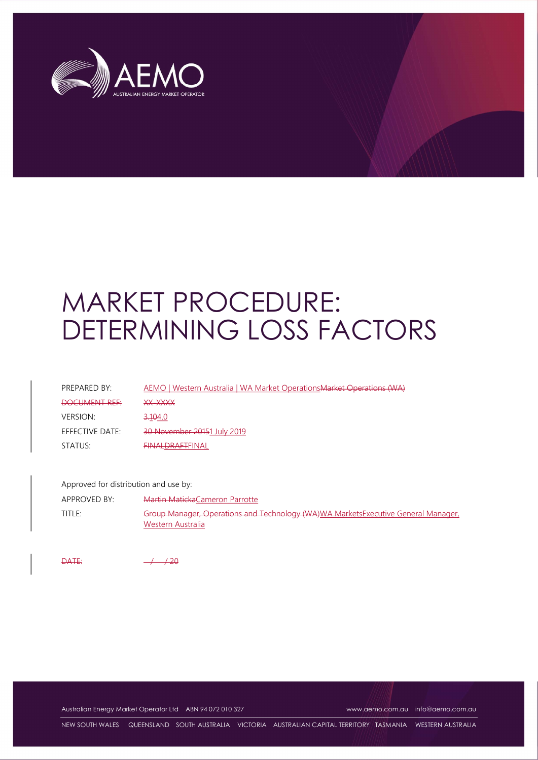

# MARKET PROCEDURE: DETERMINING LOSS FACTORS

| PREPARED BY:    | AEMO   Western Australia   WA Market Operations Market Operations (WA) |
|-----------------|------------------------------------------------------------------------|
| DOCUMENT REF:   | <b>VV_VVVV</b><br>**** <i>*</i> ******                                 |
| <b>VERSION:</b> | <del>3.10</del> 4.0                                                    |
| EFFECTIVE DATE: | 30 November 20151 July 2019                                            |
| STATUS:         | <b>EINALDRAFTFINAL</b>                                                 |

Approved for distribution and use by:

APPROVED BY: Martin MatickaCameron Parrotte TITLE: Group Manager, Operations and Technology (WA)WA MarketsExecutive General Manager, Western Australia

 $\overline{PATE}$ :  $\overline{120}$ 

Australian Energy Market Operator Ltd ABN 94 072 010 327 www.aemo.com.au info@aemo.com.au

NEW SOUTH WALES QUEENSLAND SOUTH AUSTRALIA VICTORIA AUSTRALIAN CAPITAL TERRITORY TASMANIA WESTERN AUSTRALIA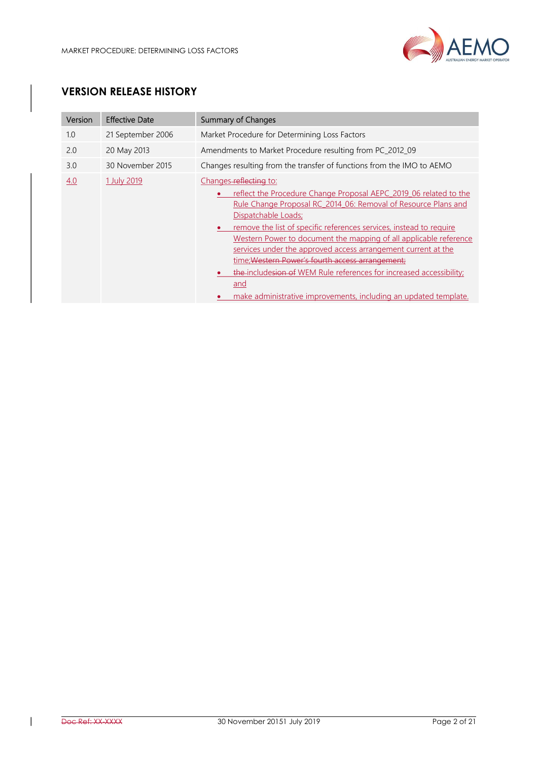

# VERSION RELEASE HISTORY

| Version | <b>Effective Date</b> | <b>Summary of Changes</b>                                                                                                                                                                                                                                                                                                                                                                                                                                                                                                                                                                               |
|---------|-----------------------|---------------------------------------------------------------------------------------------------------------------------------------------------------------------------------------------------------------------------------------------------------------------------------------------------------------------------------------------------------------------------------------------------------------------------------------------------------------------------------------------------------------------------------------------------------------------------------------------------------|
| 1.0     | 21 September 2006     | Market Procedure for Determining Loss Factors                                                                                                                                                                                                                                                                                                                                                                                                                                                                                                                                                           |
| 2.0     | 20 May 2013           | Amendments to Market Procedure resulting from PC_2012_09                                                                                                                                                                                                                                                                                                                                                                                                                                                                                                                                                |
| 3.0     | 30 November 2015      | Changes resulting from the transfer of functions from the IMO to AEMO                                                                                                                                                                                                                                                                                                                                                                                                                                                                                                                                   |
| 4.0     | 1 July 2019           | Changes-reflecting to:<br>reflect the Procedure Change Proposal AEPC 2019 06 related to the<br>Rule Change Proposal RC 2014 06: Removal of Resource Plans and<br>Dispatchable Loads;<br>remove the list of specific references services, instead to require<br>Western Power to document the mapping of all applicable reference<br>services under the approved access arrangement current at the<br>time: Western Power's fourth access arrangement:<br>the-includesion of WEM Rule references for increased accessibility;<br>and<br>make administrative improvements, including an updated template. |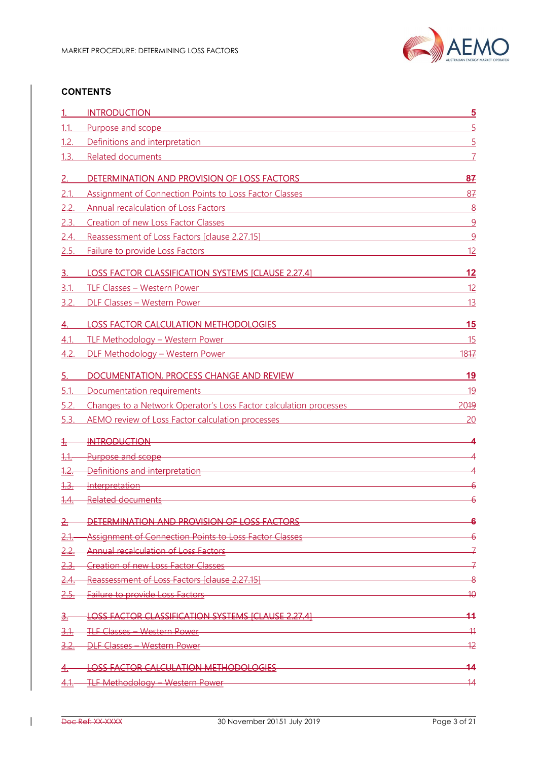

## **CONTENTS**

|             | <b>INTRODUCTION</b>                                                                                                                                                                                                                 | $\overline{\mathbf{5}}$ |
|-------------|-------------------------------------------------------------------------------------------------------------------------------------------------------------------------------------------------------------------------------------|-------------------------|
| 1.1.        | Purpose and scope                                                                                                                                                                                                                   | 5                       |
| 1.2.        | Definitions and interpretation                                                                                                                                                                                                      | 5                       |
| 1.3.        | Related documents                                                                                                                                                                                                                   |                         |
| 2.          | DETERMINATION AND PROVISION OF LOSS FACTORS                                                                                                                                                                                         | 87                      |
| 2.1         | Assignment of Connection Points to Loss Factor Classes                                                                                                                                                                              | 87                      |
| 2.2.        | <b>Annual recalculation of Loss Factors</b><br><u> 1989 - Johann Barn, mars ann an t-Amhainn an t-Amhainn an t-Amhainn an t-Amhainn an t-Amhainn an t-Amhainn a</u>                                                                 | 8                       |
| 2.3.        | <b>Creation of new Loss Factor Classes</b><br><u> 1989 - Johann Stoff, deutscher Stoffen und der Stoffen und der Stoffen und der Stoffen und der Stoffen und de</u>                                                                 | 9                       |
| 2.4.        | Reassessment of Loss Factors [clause 2.27.15]                                                                                                                                                                                       | 9                       |
| 2.5.        | Failure to provide Loss Factors<br><u> 1989 - Jan Sterling von Berling von Berling von Berling von Berling von Berling von Berling von Berling von B</u>                                                                            | 12                      |
| 3.          | <b>LOSS FACTOR CLASSIFICATION SYSTEMS [CLAUSE 2.27.4]</b>                                                                                                                                                                           | 12                      |
| 3.1         | <b>TLF Classes - Western Power</b><br><u> 1980 - Andrea Station, amerikansk politik (d. 1980)</u>                                                                                                                                   | 12                      |
| 3.2.        | DLF Classes - Western Power                                                                                                                                                                                                         | 13                      |
| 4.          | <b>LOSS FACTOR CALCULATION METHODOLOGIES</b>                                                                                                                                                                                        | 15                      |
| 4.1         | TLF Methodology - Western Power<br><u> 1980 - John Stein, mars and de Brazilian (b. 1980)</u>                                                                                                                                       | 15                      |
| 4.2.        | DLF Methodology - Western Power News Andrew Management Communication of the Communication of the Communication                                                                                                                      | 1847                    |
|             |                                                                                                                                                                                                                                     |                         |
| 5.          | DOCUMENTATION, PROCESS CHANGE AND REVIEW                                                                                                                                                                                            | 19                      |
| 5.1         | Documentation requirements                                                                                                                                                                                                          | 19                      |
| 5.2.        | Changes to a Network Operator's Loss Factor calculation processes                                                                                                                                                                   | 2019                    |
| 5.3.        | AEMO review of Loss Factor calculation processes                                                                                                                                                                                    | 20                      |
|             | <b>INTRODUCTION</b>                                                                                                                                                                                                                 |                         |
| <u>1.1.</u> | Purpose and scope <b>Example 20</b> Section 20 April 20 Section 20 April 20 Section 20 April 20 Section 20 April 20 Section 20 April 20 Section 20 April 20 Section 20 April 20 Section 20 April 20 Section 20 Section 20 Section 2 |                         |
| <u>1.2</u>  | Definitions and interpretation entitled and the control of the control of the control of the control of the co                                                                                                                      |                         |
| <u>1.3.</u> | Interpretation                                                                                                                                                                                                                      |                         |
| 1.4.        | <b>Related documents</b>                                                                                                                                                                                                            |                         |
|             | DETERMINATION AND PROVISION OF LOSS FACTORS                                                                                                                                                                                         | 6                       |
|             | Assignment of Connection Points to Loss Factor Classes                                                                                                                                                                              |                         |
|             | Annual recalculation of Loss Factors<br><u> 1980 - Johann Barn, mars an t-Amerikaansk ferhandsk foarmen (* 1950)</u>                                                                                                                |                         |
|             | <b>Creation of new Loss Factor Classes</b>                                                                                                                                                                                          | 구                       |
|             | Reassessment of Loss Factors (clause 2.27.15)                                                                                                                                                                                       | -8                      |
|             | <b>Failure to provide Loss Factors</b>                                                                                                                                                                                              | $\overline{10}$         |
|             | <b>LOSS FACTOR CLASSIFICATION SYSTEMS [CLAUSE 2.27.4]</b>                                                                                                                                                                           | 44                      |
| 3.1.        | <b>TLF Classes - Western Power</b><br><u> 1989 - Andrea Stadt Britain, amerikansk politiker (d. 1989)</u>                                                                                                                           | $\overline{11}$         |
|             | <b>DLF Classes - Western Power</b>                                                                                                                                                                                                  | $\overline{12}$         |
|             | <b>LOSS FACTOR CALCULATION METHODOLOGIES</b>                                                                                                                                                                                        | 14                      |
| <u>4.1.</u> | <u> TLF Methodology – Western Power – </u>                                                                                                                                                                                          | $\overline{14}$         |
|             |                                                                                                                                                                                                                                     |                         |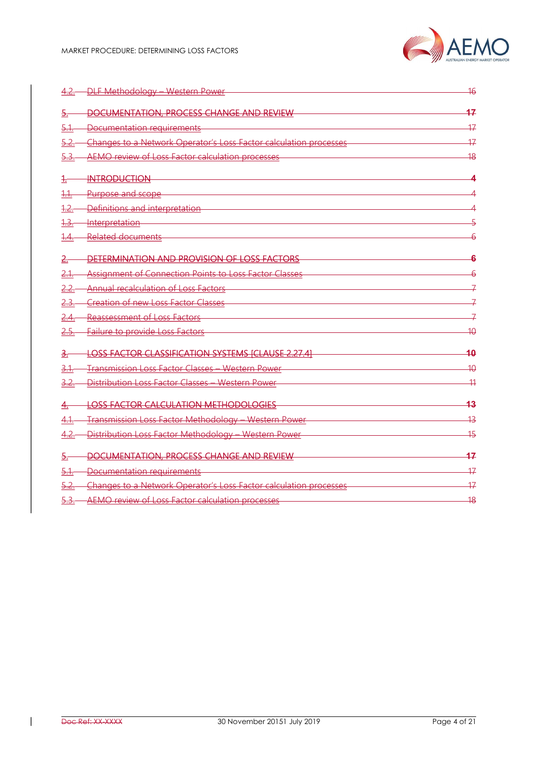

| 4.2.–             | <b>DLF Methodology - Western Power</b>                            | $\overline{16}$ |
|-------------------|-------------------------------------------------------------------|-----------------|
| ₹.                | DOCUMENTATION, PROCESS CHANGE AND REVIEW                          | 47              |
| <u>5.1.</u>       | Documentation requirements                                        | $\overline{17}$ |
| <u>5.2.</u>       | Changes to a Network Operator's Loss Factor calculation processes | 47              |
| <del>5.3.</del>   | AEMO review of Loss Factor calculation processes                  | 48              |
| ╄                 | <b>INTRODUCTION</b>                                               |                 |
| <u> 1.1.</u>      | Purpose and scope                                                 |                 |
| 1.2.              | Definitions and interpretation                                    |                 |
| <u> 1.3.-</u>     | <u>-Interpretation</u>                                            |                 |
| <del>1.4.</del>   | <b>Related documents</b>                                          |                 |
|                   | DETERMINATION AND PROVISION OF LOSS FACTORS                       |                 |
| 2.1.              | Assignment of Connection Points to Loss Factor Classes            |                 |
| <u>2.2.</u>       | <b>Annual recalculation of Loss Factors</b>                       |                 |
| 2.3.              | <b>Creation of new Loss Factor Classes</b>                        |                 |
| <u>2.4.</u>       | <b>Reassessment of Loss Factors</b>                               |                 |
| <del>2.5.--</del> | <b>Failure to provide Loss Factors</b>                            | 40              |
| з.                | <b>LOSS FACTOR CLASSIFICATION SYSTEMS [CLAUSE 2.27.4]</b>         | 10              |
| <u>3.1.</u>       | Transmission Loss Factor Classes - Western Power                  | 40              |
| 3.2.              | Distribution Loss Factor Classes - Western Power                  | -11             |
| 4.-               | <b>LOSS FACTOR CALCULATION METHODOLOGIES</b>                      | 13              |
| <u>4.1.</u>       | Transmission Loss Factor Methodology - Western Power              | $\overline{43}$ |
| <u>4.2.</u>       | Distribution Loss Factor Methodology - Western Power              | 45              |
| 5.-               | DOCUMENTATION, PROCESS CHANGE AND REVIEW                          | 17              |
| 5.1.              | Documentation requirements                                        | 17              |
| <u>5.2.</u>       | Changes to a Network Operator's Loss Factor calculation processes | 17              |
|                   | AEMO review of Loss Factor calculation processes                  | $\overline{48}$ |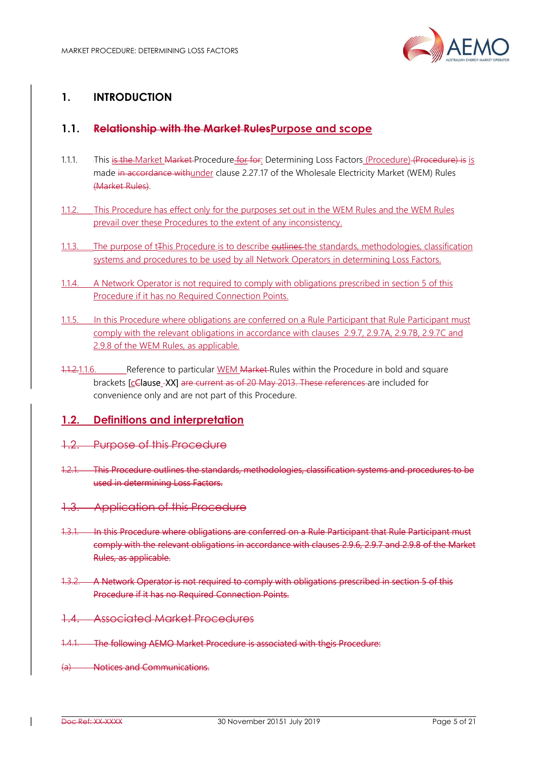

# 1. INTRODUCTION

## 1.1. Relationship with the Market RulesPurpose and scope

- 1.1.1. This is the Market Market Procedure for for: Determining Loss Factors (Procedure) (Procedure) is is made in accordance withunder clause 2.27.17 of the Wholesale Electricity Market (WEM) Rules (Market Rules).
- 1.1.2. This Procedure has effect only for the purposes set out in the WEM Rules and the WEM Rules prevail over these Procedures to the extent of any inconsistency.
- 1.1.3. The purpose of t<sub>re</sub> Procedure is to describe outlines the standards, methodologies, classification systems and procedures to be used by all Network Operators in determining Loss Factors.
- 1.1.4. A Network Operator is not required to comply with obligations prescribed in section 5 of this Procedure if it has no Required Connection Points.
- 1.1.5. In this Procedure where obligations are conferred on a Rule Participant that Rule Participant must comply with the relevant obligations in accordance with clauses 2.9.7, 2.9.7A, 2.9.7B, 2.9.7C and 2.9.8 of the WEM Rules, as applicable.
- 1.1.2.1.1.6. Reference to particular WEM Market Rules within the Procedure in bold and square brackets [cClause XX] are current as of 20 May 2013. These references are included for convenience only and are not part of this Procedure.

## 1.2. Definitions and interpretation

- 1.2. Purpose of this Procedure
- 1.2.1. This Procedure outlines the standards, methodologies, classification systems and procedures to be used in determining Loss Factors.
- 1.3. Application of this Procedure
- 1.3.1. In this Procedure where obligations are conferred on a Rule Participant that Rule Participant must comply with the relevant obligations in accordance with clauses 2.9.6, 2.9.7 and 2.9.8 of the Market Rules, as applicable.
- 1.3.2. A Network Operator is not required to comply with obligations prescribed in section 5 of this Procedure if it has no Required Connection Points.
- 1.4. Associated Market Procedures
- 1.4.1. The following AEMO Market Procedure is associated with theis Procedure:
- **Notices and Communications.**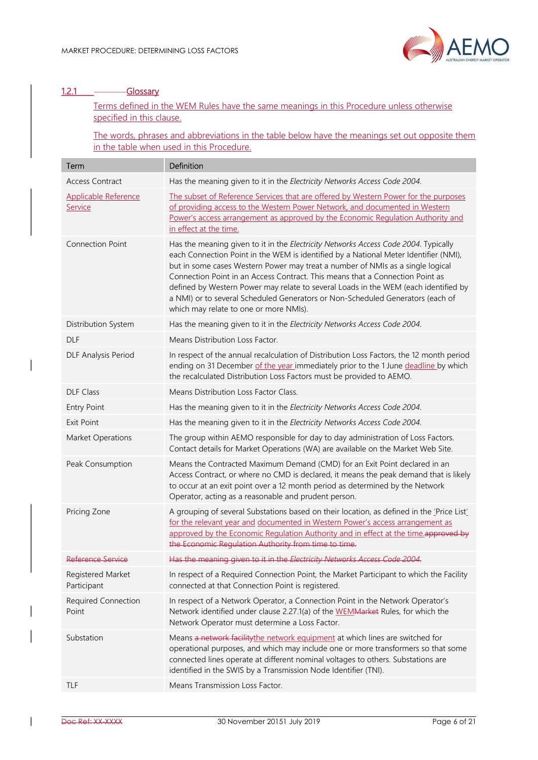

# 1.2.1 Glossary

Terms defined in the WEM Rules have the same meanings in this Procedure unless otherwise specified in this clause.

The words, phrases and abbreviations in the table below have the meanings set out opposite them in the table when used in this Procedure.

| Term                             | Definition                                                                                                                                                                                                                                                                                                                                                                                                                                                                                                                                                        |
|----------------------------------|-------------------------------------------------------------------------------------------------------------------------------------------------------------------------------------------------------------------------------------------------------------------------------------------------------------------------------------------------------------------------------------------------------------------------------------------------------------------------------------------------------------------------------------------------------------------|
| <b>Access Contract</b>           | Has the meaning given to it in the Electricity Networks Access Code 2004.                                                                                                                                                                                                                                                                                                                                                                                                                                                                                         |
| Applicable Reference<br>Service  | The subset of Reference Services that are offered by Western Power for the purposes<br>of providing access to the Western Power Network, and documented in Western<br>Power's access arrangement as approved by the Economic Regulation Authority and<br>in effect at the time.                                                                                                                                                                                                                                                                                   |
| <b>Connection Point</b>          | Has the meaning given to it in the Electricity Networks Access Code 2004. Typically<br>each Connection Point in the WEM is identified by a National Meter Identifier (NMI),<br>but in some cases Western Power may treat a number of NMIs as a single logical<br>Connection Point in an Access Contract. This means that a Connection Point as<br>defined by Western Power may relate to several Loads in the WEM (each identified by<br>a NMI) or to several Scheduled Generators or Non-Scheduled Generators (each of<br>which may relate to one or more NMIs). |
| Distribution System              | Has the meaning given to it in the Electricity Networks Access Code 2004.                                                                                                                                                                                                                                                                                                                                                                                                                                                                                         |
| <b>DLF</b>                       | Means Distribution Loss Factor.                                                                                                                                                                                                                                                                                                                                                                                                                                                                                                                                   |
| <b>DLF Analysis Period</b>       | In respect of the annual recalculation of Distribution Loss Factors, the 12 month period<br>ending on 31 December of the year immediately prior to the 1 June deadline by which<br>the recalculated Distribution Loss Factors must be provided to AEMO.                                                                                                                                                                                                                                                                                                           |
| <b>DLF Class</b>                 | Means Distribution Loss Factor Class.                                                                                                                                                                                                                                                                                                                                                                                                                                                                                                                             |
| <b>Entry Point</b>               | Has the meaning given to it in the Electricity Networks Access Code 2004.                                                                                                                                                                                                                                                                                                                                                                                                                                                                                         |
| <b>Exit Point</b>                | Has the meaning given to it in the Electricity Networks Access Code 2004.                                                                                                                                                                                                                                                                                                                                                                                                                                                                                         |
| Market Operations                | The group within AEMO responsible for day to day administration of Loss Factors.<br>Contact details for Market Operations (WA) are available on the Market Web Site.                                                                                                                                                                                                                                                                                                                                                                                              |
| Peak Consumption                 | Means the Contracted Maximum Demand (CMD) for an Exit Point declared in an<br>Access Contract, or where no CMD is declared, it means the peak demand that is likely<br>to occur at an exit point over a 12 month period as determined by the Network<br>Operator, acting as a reasonable and prudent person.                                                                                                                                                                                                                                                      |
| Pricing Zone                     | A grouping of several Substations based on their location, as defined in the 'Price List'<br>for the relevant year and documented in Western Power's access arrangement as<br>approved by the Economic Regulation Authority and in effect at the time approved by<br>the Economic Regulation Authority from time to time.                                                                                                                                                                                                                                         |
| <del>Reference Service</del>     | Has the meaning given to it in the Electricity Networks Access Code 2004.                                                                                                                                                                                                                                                                                                                                                                                                                                                                                         |
| Registered Market<br>Participant | In respect of a Required Connection Point, the Market Participant to which the Facility<br>connected at that Connection Point is registered.                                                                                                                                                                                                                                                                                                                                                                                                                      |
| Required Connection<br>Point     | In respect of a Network Operator, a Connection Point in the Network Operator's<br>Network identified under clause 2.27.1(a) of the WEMMarket Rules, for which the<br>Network Operator must determine a Loss Factor.                                                                                                                                                                                                                                                                                                                                               |
| Substation                       | Means a network facilitythe network equipment at which lines are switched for<br>operational purposes, and which may include one or more transformers so that some<br>connected lines operate at different nominal voltages to others. Substations are<br>identified in the SWIS by a Transmission Node Identifier (TNI).                                                                                                                                                                                                                                         |
| TLF                              | Means Transmission Loss Factor.                                                                                                                                                                                                                                                                                                                                                                                                                                                                                                                                   |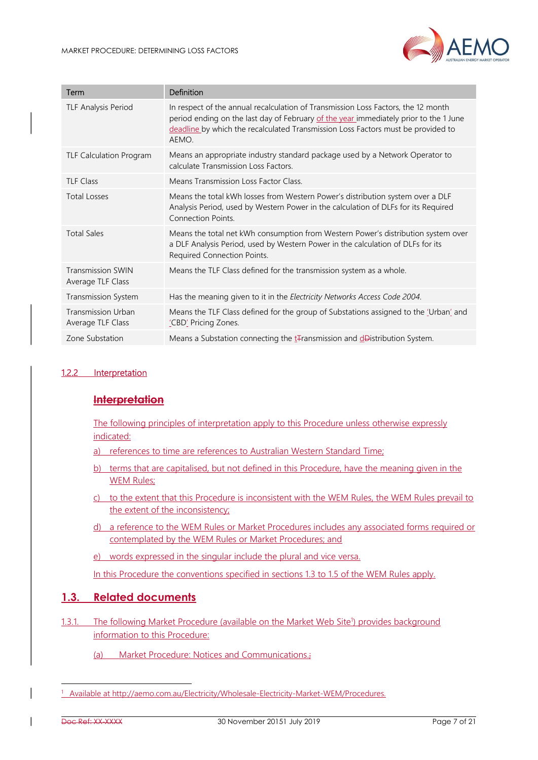

| Term                                           | Definition                                                                                                                                                                                                                                                              |
|------------------------------------------------|-------------------------------------------------------------------------------------------------------------------------------------------------------------------------------------------------------------------------------------------------------------------------|
| <b>TLF Analysis Period</b>                     | In respect of the annual recalculation of Transmission Loss Factors, the 12 month<br>period ending on the last day of February of the year immediately prior to the 1 June<br>deadline by which the recalculated Transmission Loss Factors must be provided to<br>AEMO. |
| <b>TLF Calculation Program</b>                 | Means an appropriate industry standard package used by a Network Operator to<br>calculate Transmission Loss Factors.                                                                                                                                                    |
| <b>TLF Class</b>                               | Means Transmission Loss Factor Class.                                                                                                                                                                                                                                   |
| <b>Total Losses</b>                            | Means the total kWh losses from Western Power's distribution system over a DLF<br>Analysis Period, used by Western Power in the calculation of DLFs for its Required<br><b>Connection Points.</b>                                                                       |
| <b>Total Sales</b>                             | Means the total net kWh consumption from Western Power's distribution system over<br>a DLF Analysis Period, used by Western Power in the calculation of DLFs for its<br>Required Connection Points.                                                                     |
| <b>Transmission SWIN</b><br>Average TLF Class  | Means the TLF Class defined for the transmission system as a whole.                                                                                                                                                                                                     |
| Transmission System                            | Has the meaning given to it in the Electricity Networks Access Code 2004.                                                                                                                                                                                               |
| <b>Transmission Urban</b><br>Average TLF Class | Means the TLF Class defined for the group of Substations assigned to the 'Urban' and<br>'CBD' Pricing Zones.                                                                                                                                                            |
| Zone Substation                                | Means a Substation connecting the t <sub>ransmission</sub> and deDistribution System.                                                                                                                                                                                   |

#### 1.2.2 Interpretation

## **Interpretation**

The following principles of interpretation apply to this Procedure unless otherwise expressly indicated:

- a) references to time are references to Australian Western Standard Time;
- b) terms that are capitalised, but not defined in this Procedure, have the meaning given in the WEM Rules;
- c) to the extent that this Procedure is inconsistent with the WEM Rules, the WEM Rules prevail to the extent of the inconsistency;
- d) a reference to the WEM Rules or Market Procedures includes any associated forms required or contemplated by the WEM Rules or Market Procedures; and
- e) words expressed in the singular include the plural and vice versa.

In this Procedure the conventions specified in sections 1.3 to 1.5 of the WEM Rules apply.

## 1.3. Related documents

- 1.3.1. The following Market Procedure (available on the Market Web Site<sup>1</sup>) provides background information to this Procedure:
	- (a) Market Procedure: Notices and Communications.;

-

<sup>&</sup>lt;sup>1</sup> Available at http://aemo.com.au/Electricity/Wholesale-Electricity-Market-WEM/Procedures.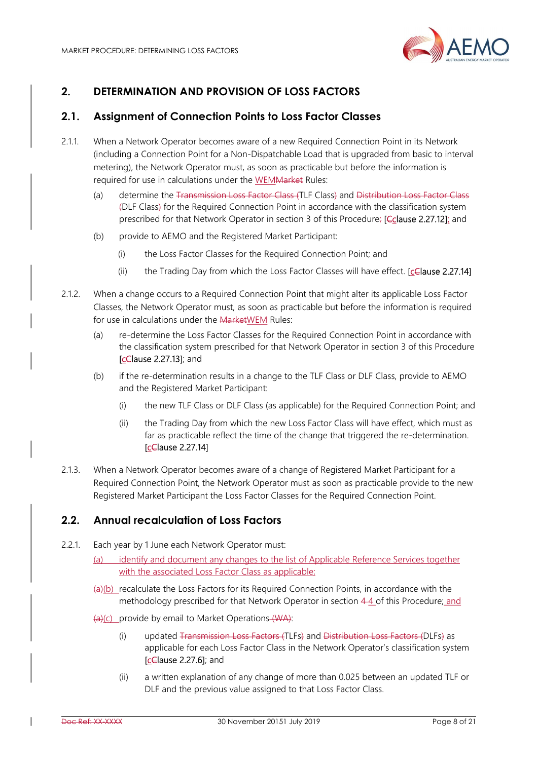

# 2. DETERMINATION AND PROVISION OF LOSS FACTORS

# 2.1. Assignment of Connection Points to Loss Factor Classes

- 2.1.1. When a Network Operator becomes aware of a new Required Connection Point in its Network (including a Connection Point for a Non-Dispatchable Load that is upgraded from basic to interval metering), the Network Operator must, as soon as practicable but before the information is required for use in calculations under the WEMMarket Rules:
	- (a) determine the Transmission Loss Factor Class (TLF Class) and Distribution Loss Factor Class (DLF Class) for the Required Connection Point in accordance with the classification system prescribed for that Network Operator in section 3 of this Procedure; [Cclause 2.27.12]; and
	- (b) provide to AEMO and the Registered Market Participant:
		- (i) the Loss Factor Classes for the Required Connection Point; and
		- (ii) the Trading Day from which the Loss Factor Classes will have effect. [cClause 2.27.14]
- 2.1.2. When a change occurs to a Required Connection Point that might alter its applicable Loss Factor Classes, the Network Operator must, as soon as practicable but before the information is required for use in calculations under the MarketWEM Rules:
	- (a) re-determine the Loss Factor Classes for the Required Connection Point in accordance with the classification system prescribed for that Network Operator in section 3 of this Procedure **[cClause 2.27.13]**; and
	- (b) if the re-determination results in a change to the TLF Class or DLF Class, provide to AEMO and the Registered Market Participant:
		- (i) the new TLF Class or DLF Class (as applicable) for the Required Connection Point; and
		- (ii) the Trading Day from which the new Loss Factor Class will have effect, which must as far as practicable reflect the time of the change that triggered the re-determination. [cClause 2.27.14]
- 2.1.3. When a Network Operator becomes aware of a change of Registered Market Participant for a Required Connection Point, the Network Operator must as soon as practicable provide to the new Registered Market Participant the Loss Factor Classes for the Required Connection Point.

# 2.2. Annual recalculation of Loss Factors

- 2.2.1. Each year by 1 June each Network Operator must:
	- (a) identify and document any changes to the list of Applicable Reference Services together with the associated Loss Factor Class as applicable:
	- $(a)(b)$  recalculate the Loss Factors for its Required Connection Points, in accordance with the methodology prescribed for that Network Operator in section 4-4 of this Procedure; and

(a)(c) provide by email to Market Operations (WA):

- (i) updated Transmission Loss Factors (TLFs) and Distribution Loss Factors (DLFs) as applicable for each Loss Factor Class in the Network Operator's classification system [cClause 2.27.6]; and
- (ii) a written explanation of any change of more than 0.025 between an updated TLF or DLF and the previous value assigned to that Loss Factor Class.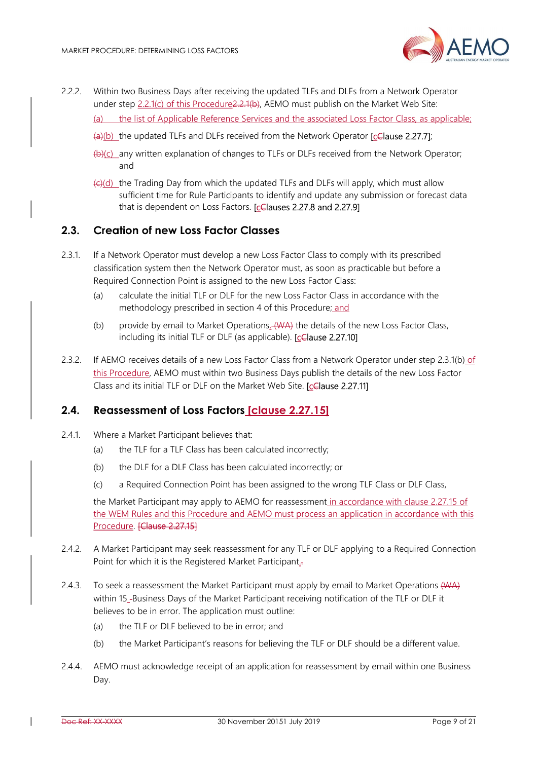

- 2.2.2. Within two Business Days after receiving the updated TLFs and DLFs from a Network Operator under step 2.2.1(c) of this Procedure 2.2.1(b), AEMO must publish on the Market Web Site:
	- the list of Applicable Reference Services and the associated Loss Factor Class, as applicable;
	- $(a)(b)$  the updated TLFs and DLFs received from the Network Operator **[cClause 2.27.7]**;
	- (b)(c) any written explanation of changes to TLFs or DLFs received from the Network Operator; and
	- (c)(d) the Trading Day from which the updated TLFs and DLFs will apply, which must allow sufficient time for Rule Participants to identify and update any submission or forecast data that is dependent on Loss Factors. [cClauses 2.27.8 and 2.27.9]

## 2.3. Creation of new Loss Factor Classes

- 2.3.1. If a Network Operator must develop a new Loss Factor Class to comply with its prescribed classification system then the Network Operator must, as soon as practicable but before a Required Connection Point is assigned to the new Loss Factor Class:
	- (a) calculate the initial TLF or DLF for the new Loss Factor Class in accordance with the methodology prescribed in section 4 of this Procedure; and
	- (b) provide by email to Market Operations, (WA) the details of the new Loss Factor Class, including its initial TLF or DLF (as applicable). [cClause 2.27.10]
- 2.3.2. If AEMO receives details of a new Loss Factor Class from a Network Operator under step 2.3.1(b) of this Procedure, AEMO must within two Business Days publish the details of the new Loss Factor Class and its initial TLF or DLF on the Market Web Site. [cClause 2.27.11]

## 2.4. Reassessment of Loss Factors [clause 2.27.15]

- 2.4.1. Where a Market Participant believes that:
	- (a) the TLF for a TLF Class has been calculated incorrectly;
	- (b) the DLF for a DLF Class has been calculated incorrectly; or
	- (c) a Required Connection Point has been assigned to the wrong TLF Class or DLF Class,

the Market Participant may apply to AEMO for reassessment in accordance with clause 2.27.15 of the WEM Rules and this Procedure and AEMO must process an application in accordance with this Procedure. [Clause 2.27.15]

- 2.4.2. A Market Participant may seek reassessment for any TLF or DLF applying to a Required Connection Point for which it is the Registered Market Participant.
- 2.4.3. To seek a reassessment the Market Participant must apply by email to Market Operations (WA) within 15 -Business Days of the Market Participant receiving notification of the TLF or DLF it believes to be in error. The application must outline:
	- (a) the TLF or DLF believed to be in error; and
	- (b) the Market Participant's reasons for believing the TLF or DLF should be a different value.
- 2.4.4. AEMO must acknowledge receipt of an application for reassessment by email within one Business Day.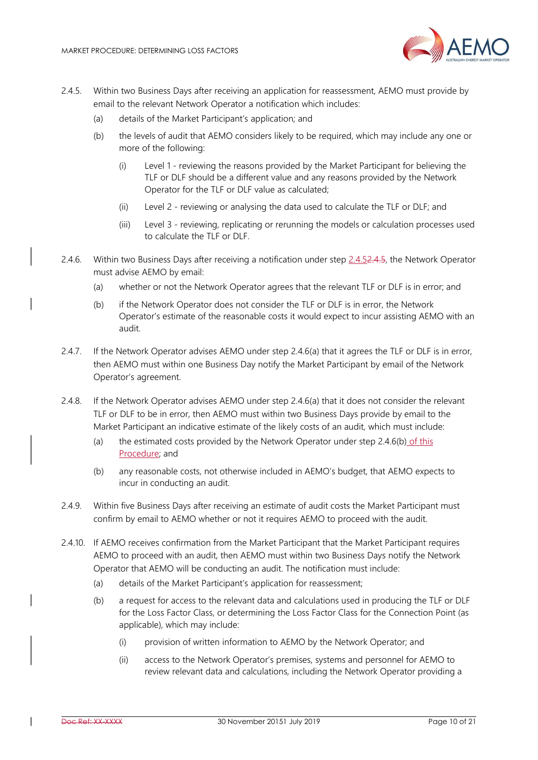

- 2.4.5. Within two Business Days after receiving an application for reassessment, AEMO must provide by email to the relevant Network Operator a notification which includes:
	- (a) details of the Market Participant's application; and
	- (b) the levels of audit that AEMO considers likely to be required, which may include any one or more of the following:
		- (i) Level 1 reviewing the reasons provided by the Market Participant for believing the TLF or DLF should be a different value and any reasons provided by the Network Operator for the TLF or DLF value as calculated;
		- (ii) Level 2 reviewing or analysing the data used to calculate the TLF or DLF; and
		- (iii) Level 3 reviewing, replicating or rerunning the models or calculation processes used to calculate the TLF or DLF.
- 2.4.6. Within two Business Days after receiving a notification under step 2.4.52.4.5, the Network Operator must advise AEMO by email:
	- (a) whether or not the Network Operator agrees that the relevant TLF or DLF is in error; and
	- (b) if the Network Operator does not consider the TLF or DLF is in error, the Network Operator's estimate of the reasonable costs it would expect to incur assisting AEMO with an audit.
- 2.4.7. If the Network Operator advises AEMO under step 2.4.6(a) that it agrees the TLF or DLF is in error, then AEMO must within one Business Day notify the Market Participant by email of the Network Operator's agreement.
- 2.4.8. If the Network Operator advises AEMO under step 2.4.6(a) that it does not consider the relevant TLF or DLF to be in error, then AEMO must within two Business Days provide by email to the Market Participant an indicative estimate of the likely costs of an audit, which must include:
	- (a) the estimated costs provided by the Network Operator under step 2.4.6(b) of this Procedure; and
	- (b) any reasonable costs, not otherwise included in AEMO's budget, that AEMO expects to incur in conducting an audit.
- 2.4.9. Within five Business Days after receiving an estimate of audit costs the Market Participant must confirm by email to AEMO whether or not it requires AEMO to proceed with the audit.
- 2.4.10. If AEMO receives confirmation from the Market Participant that the Market Participant requires AEMO to proceed with an audit, then AEMO must within two Business Days notify the Network Operator that AEMO will be conducting an audit. The notification must include:
	- (a) details of the Market Participant's application for reassessment;
	- (b) a request for access to the relevant data and calculations used in producing the TLF or DLF for the Loss Factor Class, or determining the Loss Factor Class for the Connection Point (as applicable), which may include:
		- (i) provision of written information to AEMO by the Network Operator; and
		- (ii) access to the Network Operator's premises, systems and personnel for AEMO to review relevant data and calculations, including the Network Operator providing a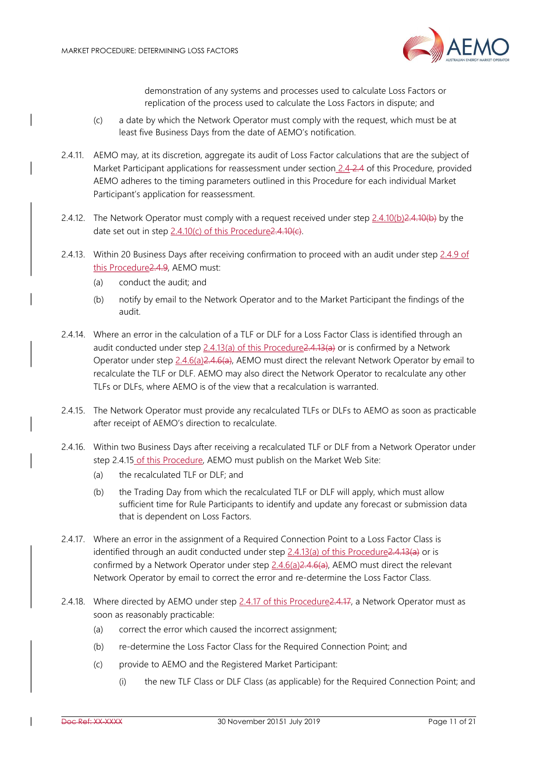

demonstration of any systems and processes used to calculate Loss Factors or replication of the process used to calculate the Loss Factors in dispute; and

- (c) a date by which the Network Operator must comply with the request, which must be at least five Business Days from the date of AEMO's notification.
- 2.4.11. AEMO may, at its discretion, aggregate its audit of Loss Factor calculations that are the subject of Market Participant applications for reassessment under section 2.4 2.4 of this Procedure, provided AEMO adheres to the timing parameters outlined in this Procedure for each individual Market Participant's application for reassessment.
- 2.4.12. The Network Operator must comply with a request received under step 2.4.10(b)2.4.10(b) by the date set out in step 2.4.10(c) of this Procedure 2.4.10(c).
- 2.4.13. Within 20 Business Days after receiving confirmation to proceed with an audit under step 2.4.9 of this Procedure2.4.9, AEMO must:
	- (a) conduct the audit; and
	- (b) notify by email to the Network Operator and to the Market Participant the findings of the audit.
- 2.4.14. Where an error in the calculation of a TLF or DLF for a Loss Factor Class is identified through an audit conducted under step  $2.4.13(a)$  of this Procedure  $2.4.13(a)$  or is confirmed by a Network Operator under step 2.4.6(a)2.4.6(a), AEMO must direct the relevant Network Operator by email to recalculate the TLF or DLF. AEMO may also direct the Network Operator to recalculate any other TLFs or DLFs, where AEMO is of the view that a recalculation is warranted.
- 2.4.15. The Network Operator must provide any recalculated TLFs or DLFs to AEMO as soon as practicable after receipt of AEMO's direction to recalculate.
- 2.4.16. Within two Business Days after receiving a recalculated TLF or DLF from a Network Operator under step 2.4.15 of this Procedure, AEMO must publish on the Market Web Site:
	- (a) the recalculated TLF or DLF; and
	- (b) the Trading Day from which the recalculated TLF or DLF will apply, which must allow sufficient time for Rule Participants to identify and update any forecast or submission data that is dependent on Loss Factors.
- 2.4.17. Where an error in the assignment of a Required Connection Point to a Loss Factor Class is identified through an audit conducted under step 2.4.13(a) of this Procedure2.4.13(a) or is confirmed by a Network Operator under step  $2.4.6(a)2.4.6(a)$ , AEMO must direct the relevant Network Operator by email to correct the error and re-determine the Loss Factor Class.
- 2.4.18. Where directed by AEMO under step 2.4.17 of this Procedure2.4.17, a Network Operator must as soon as reasonably practicable:
	- (a) correct the error which caused the incorrect assignment;
	- (b) re-determine the Loss Factor Class for the Required Connection Point; and
	- (c) provide to AEMO and the Registered Market Participant:
		- (i) the new TLF Class or DLF Class (as applicable) for the Required Connection Point; and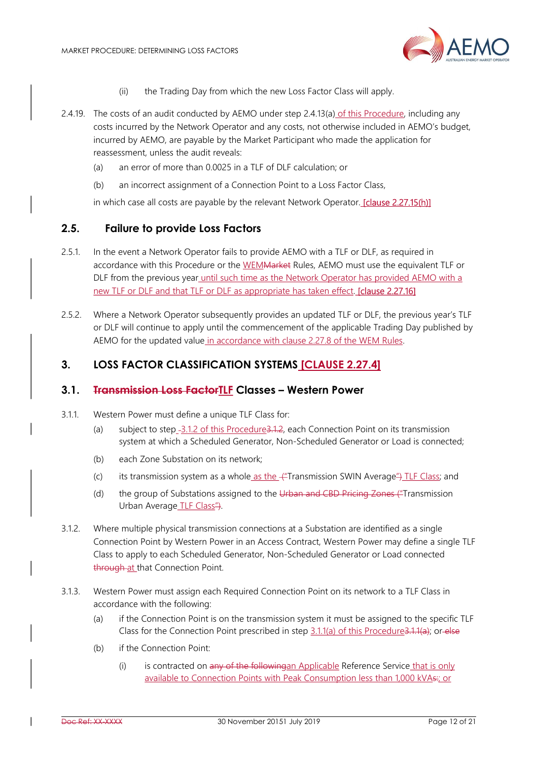

- (ii) the Trading Day from which the new Loss Factor Class will apply.
- 2.4.19. The costs of an audit conducted by AEMO under step 2.4.13(a) of this Procedure, including any costs incurred by the Network Operator and any costs, not otherwise included in AEMO's budget, incurred by AEMO, are payable by the Market Participant who made the application for reassessment, unless the audit reveals:
	- (a) an error of more than 0.0025 in a TLF of DLF calculation; or
	- (b) an incorrect assignment of a Connection Point to a Loss Factor Class,

in which case all costs are payable by the relevant Network Operator. [clause 2.27.15(h)]

## 2.5. Failure to provide Loss Factors

- 2.5.1. In the event a Network Operator fails to provide AEMO with a TLF or DLF, as required in accordance with this Procedure or the WEMMarket Rules, AEMO must use the equivalent TLF or DLF from the previous year until such time as the Network Operator has provided AEMO with a new TLF or DLF and that TLF or DLF as appropriate has taken effect. [clause 2.27.16]
- 2.5.2. Where a Network Operator subsequently provides an updated TLF or DLF, the previous year's TLF or DLF will continue to apply until the commencement of the applicable Trading Day published by AEMO for the updated value in accordance with clause 2.27.8 of the WEM Rules.

## 3. LOSS FACTOR CLASSIFICATION SYSTEMS [CLAUSE 2.27.4]

#### 3.1. Transmission Loss FactorTLF Classes – Western Power

- 3.1.1. Western Power must define a unique TLF Class for:
	- (a) subject to step -3.1.2 of this Procedure 3.1.2, each Connection Point on its transmission system at which a Scheduled Generator, Non-Scheduled Generator or Load is connected;
	- (b) each Zone Substation on its network;
	- (c) its transmission system as a whole as the  $\frac{1}{2}$ Transmission SWIN Average  $\frac{1}{2}$  TLF Class; and
	- (d) the group of Substations assigned to the Urban and CBD Pricing Zones ("Transmission Urban Average TLF Class<sup>"4</sup>).
- 3.1.2. Where multiple physical transmission connections at a Substation are identified as a single Connection Point by Western Power in an Access Contract, Western Power may define a single TLF Class to apply to each Scheduled Generator, Non-Scheduled Generator or Load connected through at that Connection Point.
- 3.1.3. Western Power must assign each Required Connection Point on its network to a TLF Class in accordance with the following:
	- (a) if the Connection Point is on the transmission system it must be assigned to the specific TLF Class for the Connection Point prescribed in step 3.1.1(a) of this Procedure3.1.1(a); or else
	- (b) if the Connection Point:
		- (i) is contracted on any of the followingan Applicable Reference Service that is only available to Connection Points with Peak Consumption less than 1,000 kVAs: or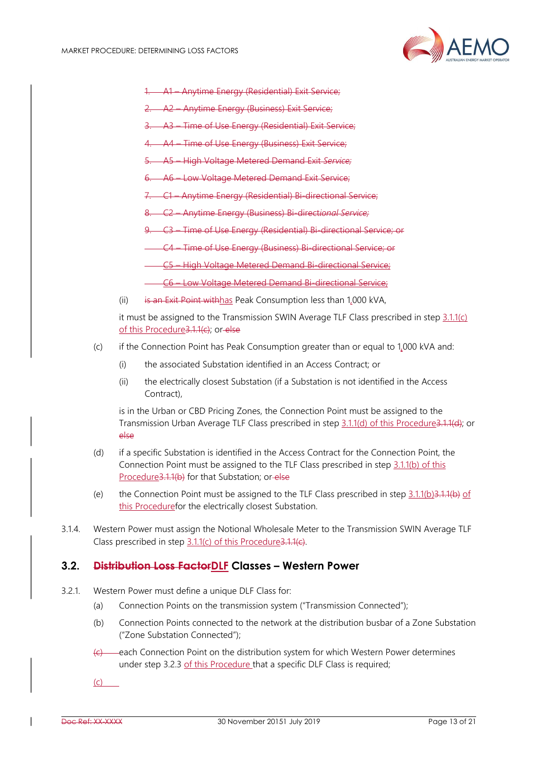

- 1. A1 Anytime Energy (Residential) Exit Service;
- 2. A2 Anytime Energy (Business) Exit Service;
- 3. A3 Time of Use Energy (Residential) Exit Service;
- 4. A4 Time of Use Energy (Business) Exit Service;
- 5. A5 High Voltage Metered Demand Exit Service;
- 6. A6 Low Voltage Metered Demand Exit Service;
- 7. C1 Anytime Energy (Residential) Bi-directional Service;
- 8. C2 Anytime Energy (Business) Bi-directional Service;
- 9. C3 Time of Use Energy (Residential) Bi-directional Service; or
	- C4 Time of Use Energy (Business) Bi-directional Service; or
	- C5 High Voltage Metered Demand Bi-directional Service;
	- C6 Low Voltage Metered Demand Bi-directional Service;
- (ii) is an Exit Point with has Peak Consumption less than  $1,000$  kVA,

it must be assigned to the Transmission SWIN Average TLF Class prescribed in step  $3.1.1(c)$ of this Procedure3.1.1(c); or-else

- (c) if the Connection Point has Peak Consumption greater than or equal to 1,000 kVA and:
	- (i) the associated Substation identified in an Access Contract; or
	- (ii) the electrically closest Substation (if a Substation is not identified in the Access Contract),

is in the Urban or CBD Pricing Zones, the Connection Point must be assigned to the Transmission Urban Average TLF Class prescribed in step 3.1.1(d) of this Procedure3.1.1(d); or else

- (d) if a specific Substation is identified in the Access Contract for the Connection Point, the Connection Point must be assigned to the TLF Class prescribed in step 3.1.1(b) of this Procedure3.1.1(b) for that Substation; or else
- (e) the Connection Point must be assigned to the TLF Class prescribed in step  $3.1.1(b)3.1.1(b)$  of this Procedurefor the electrically closest Substation.
- 3.1.4. Western Power must assign the Notional Wholesale Meter to the Transmission SWIN Average TLF Class prescribed in step 3.1.1(c) of this Procedure3.1.1(c).

#### 3.2. Distribution Loss FactorDLF Classes – Western Power

- 3.2.1. Western Power must define a unique DLF Class for:
	- (a) Connection Points on the transmission system ("Transmission Connected");
	- (b) Connection Points connected to the network at the distribution busbar of a Zone Substation ("Zone Substation Connected");
	- $\left\langle \epsilon \right\rangle$  each Connection Point on the distribution system for which Western Power determines under step 3.2.3 of this Procedure that a specific DLF Class is required;
	- (c)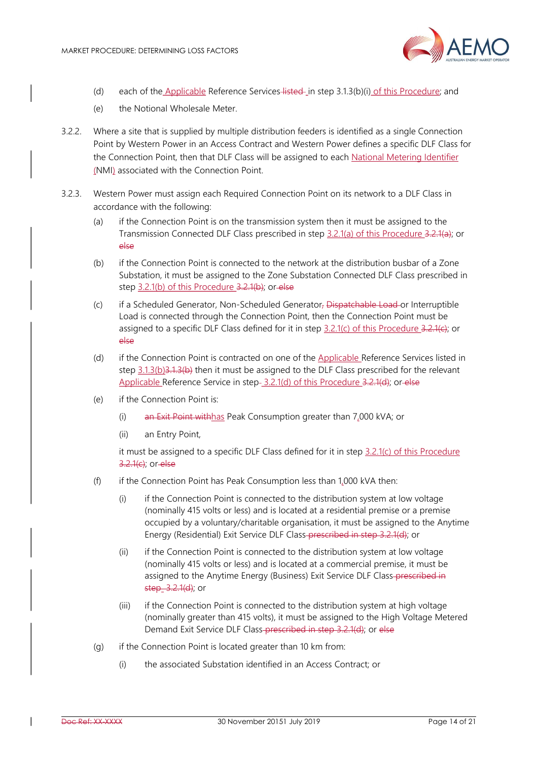

- (d) each of the Applicable Reference Services listed in step 3.1.3(b)(i) of this Procedure; and
- (e) the Notional Wholesale Meter.
- 3.2.2. Where a site that is supplied by multiple distribution feeders is identified as a single Connection Point by Western Power in an Access Contract and Western Power defines a specific DLF Class for the Connection Point, then that DLF Class will be assigned to each National Metering Identifier (NMI) associated with the Connection Point.
- 3.2.3. Western Power must assign each Required Connection Point on its network to a DLF Class in accordance with the following:
	- (a) if the Connection Point is on the transmission system then it must be assigned to the Transmission Connected DLF Class prescribed in step 3.2.1(a) of this Procedure 3.2.1(a); or else
	- (b) if the Connection Point is connected to the network at the distribution busbar of a Zone Substation, it must be assigned to the Zone Substation Connected DLF Class prescribed in step 3.2.1(b) of this Procedure 3.2.1(b); or else
	- (c) if a Scheduled Generator, Non-Scheduled Generator, Dispatchable Load or Interruptible Load is connected through the Connection Point, then the Connection Point must be assigned to a specific DLF Class defined for it in step 3.2.1(c) of this Procedure 3.2.1(e); or else
	- (d) if the Connection Point is contracted on one of the Applicable Reference Services listed in step  $3.1.3(b)3.1.3(b)$  then it must be assigned to the DLF Class prescribed for the relevant Applicable Reference Service in step- 3.2.1(d) of this Procedure 3.2.1(d); or else
	- (e) if the Connection Point is:
		- (i) an Exit Point with has Peak Consumption greater than  $7.000$  kVA; or
		- (ii) an Entry Point,

it must be assigned to a specific DLF Class defined for it in step 3.2.1(c) of this Procedure 3.2.1(c); or else

- (f) if the Connection Point has Peak Consumption less than 1,000 kVA then:
	- (i) if the Connection Point is connected to the distribution system at low voltage (nominally 415 volts or less) and is located at a residential premise or a premise occupied by a voluntary/charitable organisation, it must be assigned to the Anytime Energy (Residential) Exit Service DLF Class-prescribed in step 3.2.1(d); or
	- (ii) if the Connection Point is connected to the distribution system at low voltage (nominally 415 volts or less) and is located at a commercial premise, it must be assigned to the Anytime Energy (Business) Exit Service DLF Class-prescribed in step 3.2.1(d); or
	- (iii) if the Connection Point is connected to the distribution system at high voltage (nominally greater than 415 volts), it must be assigned to the High Voltage Metered Demand Exit Service DLF Class-prescribed in step 3.2.1(d); or else
- (g) if the Connection Point is located greater than 10 km from:
	- (i) the associated Substation identified in an Access Contract; or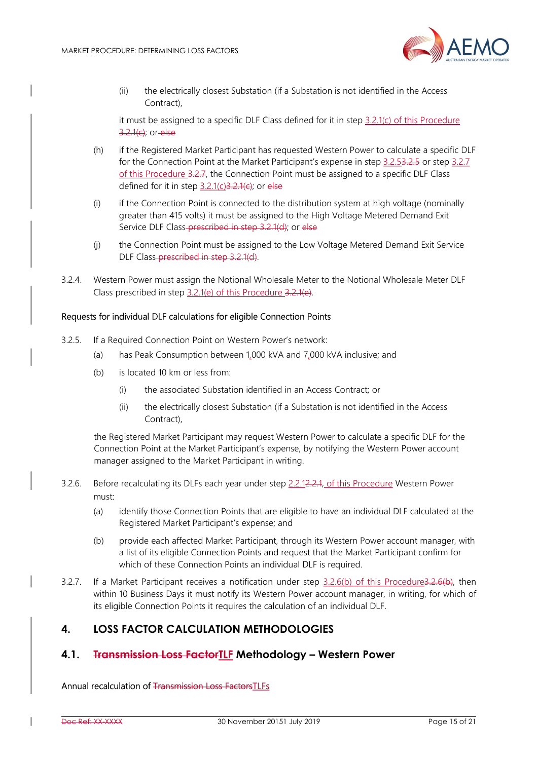

(ii) the electrically closest Substation (if a Substation is not identified in the Access Contract),

it must be assigned to a specific DLF Class defined for it in step  $3.2.1(c)$  of this Procedure 3.2.1(c); or else

- (h) if the Registered Market Participant has requested Western Power to calculate a specific DLF for the Connection Point at the Market Participant's expense in step 3.2.53.2.5 or step 3.2.7 of this Procedure 3.2.7, the Connection Point must be assigned to a specific DLF Class defined for it in step  $3.2.1(c)3.2.1(e)$ ; or else
- (i) if the Connection Point is connected to the distribution system at high voltage (nominally greater than 415 volts) it must be assigned to the High Voltage Metered Demand Exit Service DLF Class-prescribed in step 3.2.1(d); or else
- (j) the Connection Point must be assigned to the Low Voltage Metered Demand Exit Service DLF Class-prescribed in step 3.2.1(d).
- 3.2.4. Western Power must assign the Notional Wholesale Meter to the Notional Wholesale Meter DLF Class prescribed in step 3.2.1(e) of this Procedure 3.2.1(e).

#### Requests for individual DLF calculations for eligible Connection Points

- 3.2.5. If a Required Connection Point on Western Power's network:
	- (a) has Peak Consumption between 1,000 kVA and 7,000 kVA inclusive; and
	- (b) is located 10 km or less from:
		- (i) the associated Substation identified in an Access Contract; or
		- (ii) the electrically closest Substation (if a Substation is not identified in the Access Contract),

the Registered Market Participant may request Western Power to calculate a specific DLF for the Connection Point at the Market Participant's expense, by notifying the Western Power account manager assigned to the Market Participant in writing.

- 3.2.6. Before recalculating its DLFs each year under step 2.2.12.2.4, of this Procedure Western Power must:
	- (a) identify those Connection Points that are eligible to have an individual DLF calculated at the Registered Market Participant's expense; and
	- (b) provide each affected Market Participant, through its Western Power account manager, with a list of its eligible Connection Points and request that the Market Participant confirm for which of these Connection Points an individual DLF is required.
- 3.2.7. If a Market Participant receives a notification under step 3.2.6(b) of this Procedure3.2.6(b), then within 10 Business Days it must notify its Western Power account manager, in writing, for which of its eligible Connection Points it requires the calculation of an individual DLF.

# 4. LOSS FACTOR CALCULATION METHODOLOGIES

## 4.1. Fransmission Loss FactorTLF Methodology - Western Power

Annual recalculation of Transmission Loss FactorsTLFs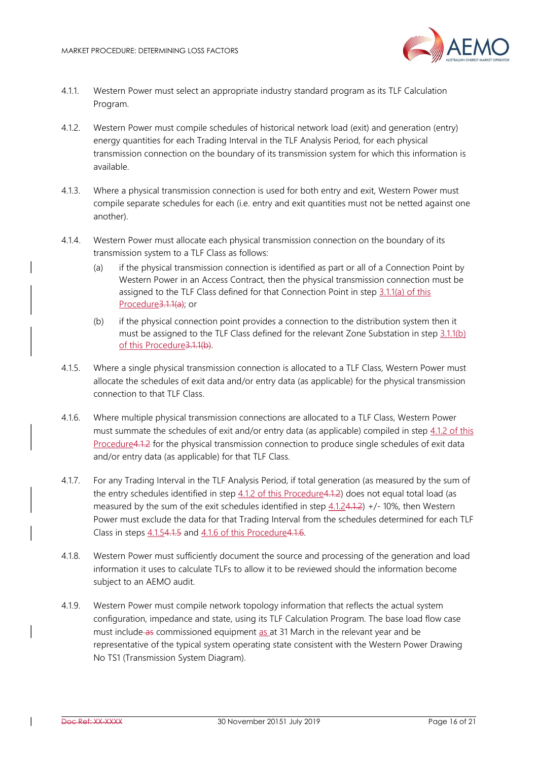

- 4.1.1. Western Power must select an appropriate industry standard program as its TLF Calculation Program.
- 4.1.2. Western Power must compile schedules of historical network load (exit) and generation (entry) energy quantities for each Trading Interval in the TLF Analysis Period, for each physical transmission connection on the boundary of its transmission system for which this information is available.
- 4.1.3. Where a physical transmission connection is used for both entry and exit, Western Power must compile separate schedules for each (i.e. entry and exit quantities must not be netted against one another).
- 4.1.4. Western Power must allocate each physical transmission connection on the boundary of its transmission system to a TLF Class as follows:
	- (a) if the physical transmission connection is identified as part or all of a Connection Point by Western Power in an Access Contract, then the physical transmission connection must be assigned to the TLF Class defined for that Connection Point in step 3.1.1(a) of this Procedure3.1.1(a); or
	- (b) if the physical connection point provides a connection to the distribution system then it must be assigned to the TLF Class defined for the relevant Zone Substation in step 3.1.1(b) of this Procedure3.1.1(b).
- 4.1.5. Where a single physical transmission connection is allocated to a TLF Class, Western Power must allocate the schedules of exit data and/or entry data (as applicable) for the physical transmission connection to that TLF Class.
- 4.1.6. Where multiple physical transmission connections are allocated to a TLF Class, Western Power must summate the schedules of exit and/or entry data (as applicable) compiled in step 4.1.2 of this Procedure4.1.2 for the physical transmission connection to produce single schedules of exit data and/or entry data (as applicable) for that TLF Class.
- 4.1.7. For any Trading Interval in the TLF Analysis Period, if total generation (as measured by the sum of the entry schedules identified in step 4.1.2 of this Procedure4.1.2) does not equal total load (as measured by the sum of the exit schedules identified in step  $4.1.24.1.2$ ) +/- 10%, then Western Power must exclude the data for that Trading Interval from the schedules determined for each TLF Class in steps 4.1.54.1.5 and 4.1.6 of this Procedure4.1.6.
- 4.1.8. Western Power must sufficiently document the source and processing of the generation and load information it uses to calculate TLFs to allow it to be reviewed should the information become subject to an AEMO audit.
- 4.1.9. Western Power must compile network topology information that reflects the actual system configuration, impedance and state, using its TLF Calculation Program. The base load flow case must include as commissioned equipment as at 31 March in the relevant year and be representative of the typical system operating state consistent with the Western Power Drawing No TS1 (Transmission System Diagram).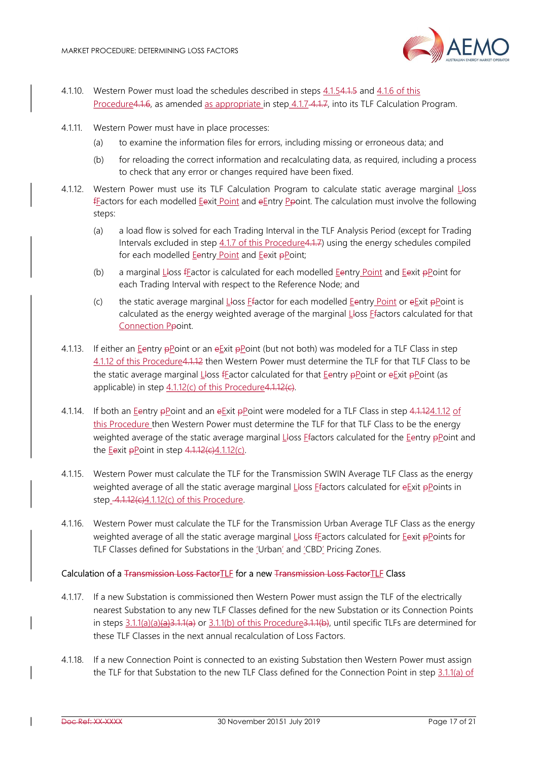

- 4.1.10. Western Power must load the schedules described in steps 4.1.54.1.5 and 4.1.6 of this Procedure4.1.6, as amended as appropriate in step 4.1.7 4.1.7, into its TLF Calculation Program.
- 4.1.11. Western Power must have in place processes:
	- (a) to examine the information files for errors, including missing or erroneous data; and
	- (b) for reloading the correct information and recalculating data, as required, including a process to check that any error or changes required have been fixed.
- 4.1.12. Western Power must use its TLF Calculation Program to calculate static average marginal Lloss fFactors for each modelled Eexit Point and eEntry Ppoint. The calculation must involve the following steps:
	- (a) a load flow is solved for each Trading Interval in the TLF Analysis Period (except for Trading Intervals excluded in step 4.1.7 of this Procedure4.1.7) using the energy schedules compiled for each modelled Eentry Point and Eexit pPoint;
	- (b) a marginal Lloss fFactor is calculated for each modelled Eentry Point and Eexit pPoint for each Trading Interval with respect to the Reference Node; and
	- (c) the static average marginal Lloss Ffactor for each modelled Eentry Point or eExit  $\frac{1}{2}$  Point is calculated as the energy weighted average of the marginal Lloss Ffactors calculated for that Connection Ppoint.
- 4.1.13. If either an Eentry pPoint or an eExit pPoint (but not both) was modeled for a TLF Class in step 4.1.12 of this Procedure4.1.12 then Western Power must determine the TLF for that TLF Class to be the static average marginal Lloss fFactor calculated for that Eentry pPoint or eExit pPoint (as applicable) in step 4.1.12(c) of this Procedure4.1.12(c).
- 4.1.14. If both an Eentry pPoint and an eExit pPoint were modeled for a TLF Class in step 4.1.124.1.12 of this Procedure then Western Power must determine the TLF for that TLF Class to be the energy weighted average of the static average marginal  $L$ loss Efactors calculated for the Eentry  $p$ Point and the Eexit  $\frac{1}{2}$ Point in step  $\frac{4.1.12}{c}$ . 1.12(c).
- 4.1.15. Western Power must calculate the TLF for the Transmission SWIN Average TLF Class as the energy weighted average of all the static average marginal Lloss Efactors calculated for eExit pPoints in step  $-4.1.12$ (e) $4.1.12$ (c) of this Procedure.
- 4.1.16. Western Power must calculate the TLF for the Transmission Urban Average TLF Class as the energy weighted average of all the static average marginal Lloss fFactors calculated for Eexit pPoints for TLF Classes defined for Substations in the 'Urban' and 'CBD' Pricing Zones.

#### Calculation of a Transmission Loss FactorTLF for a new Transmission Loss FactorTLF Class

- 4.1.17. If a new Substation is commissioned then Western Power must assign the TLF of the electrically nearest Substation to any new TLF Classes defined for the new Substation or its Connection Points in steps 3.1.1(a)(a)(a)(a)3.1.1(a) or 3.1.1(b) of this Procedure3.1.1(b), until specific TLFs are determined for these TLF Classes in the next annual recalculation of Loss Factors.
- 4.1.18. If a new Connection Point is connected to an existing Substation then Western Power must assign the TLF for that Substation to the new TLF Class defined for the Connection Point in step 3.1.1(a) of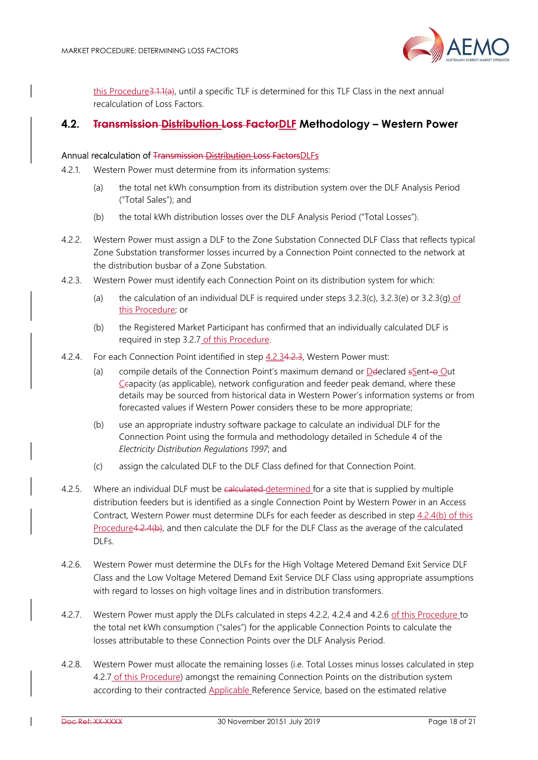

this Procedure3.1.1(a), until a specific TLF is determined for this TLF Class in the next annual recalculation of Loss Factors.

#### 4.2. Transmission Distribution Loss FactorDLF Methodology – Western Power

#### Annual recalculation of Transmission Distribution Loss FactorsDLFs

- 4.2.1. Western Power must determine from its information systems:
	- (a) the total net kWh consumption from its distribution system over the DLF Analysis Period ("Total Sales"); and
	- (b) the total kWh distribution losses over the DLF Analysis Period ("Total Losses").
- 4.2.2. Western Power must assign a DLF to the Zone Substation Connected DLF Class that reflects typical Zone Substation transformer losses incurred by a Connection Point connected to the network at the distribution busbar of a Zone Substation.
- 4.2.3. Western Power must identify each Connection Point on its distribution system for which:
	- (a) the calculation of an individual DLF is required under steps 3.2.3(c), 3.2.3(e) or 3.2.3(q) of this Procedure; or
	- (b) the Registered Market Participant has confirmed that an individually calculated DLF is required in step 3.2.7 of this Procedure.
- 4.2.4. For each Connection Point identified in step 4.2.34.2.3, Western Power must:
	- (a) compile details of the Connection Point's maximum demand or Deteclared  $s$  Sent- $\Theta$  Out Ccapacity (as applicable), network configuration and feeder peak demand, where these details may be sourced from historical data in Western Power's information systems or from forecasted values if Western Power considers these to be more appropriate;
	- (b) use an appropriate industry software package to calculate an individual DLF for the Connection Point using the formula and methodology detailed in Schedule 4 of the Electricity Distribution Regulations 1997; and
	- (c) assign the calculated DLF to the DLF Class defined for that Connection Point.
- 4.2.5. Where an individual DLF must be calculated determined for a site that is supplied by multiple distribution feeders but is identified as a single Connection Point by Western Power in an Access Contract, Western Power must determine DLFs for each feeder as described in step 4.2.4(b) of this Procedure4.2.4(b), and then calculate the DLF for the DLF Class as the average of the calculated DLFs.
- 4.2.6. Western Power must determine the DLFs for the High Voltage Metered Demand Exit Service DLF Class and the Low Voltage Metered Demand Exit Service DLF Class using appropriate assumptions with regard to losses on high voltage lines and in distribution transformers.
- 4.2.7. Western Power must apply the DLFs calculated in steps 4.2.2, 4.2.4 and 4.2.6 of this Procedure to the total net kWh consumption ("sales") for the applicable Connection Points to calculate the losses attributable to these Connection Points over the DLF Analysis Period.
- 4.2.8. Western Power must allocate the remaining losses (i.e. Total Losses minus losses calculated in step 4.2.7 of this Procedure) amongst the remaining Connection Points on the distribution system according to their contracted Applicable Reference Service, based on the estimated relative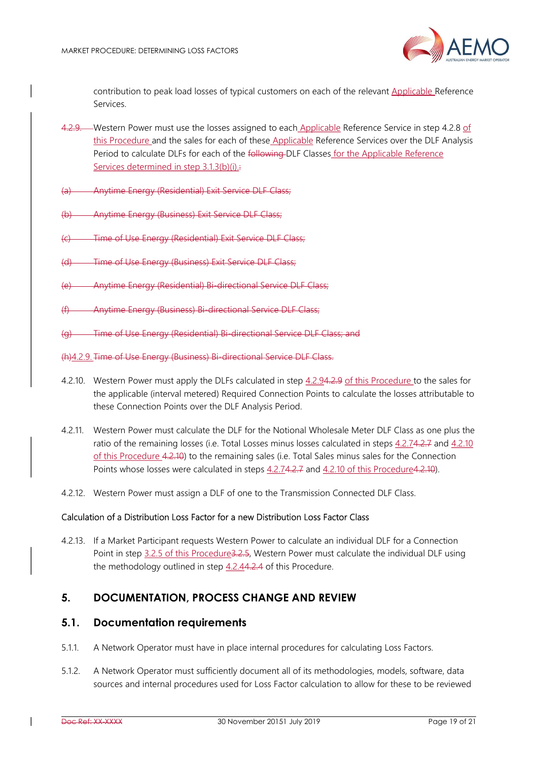

contribution to peak load losses of typical customers on each of the relevant Applicable Reference Services.

- 4.2.9. Western Power must use the losses assigned to each Applicable Reference Service in step 4.2.8 of this Procedure and the sales for each of these Applicable Reference Services over the DLF Analysis Period to calculate DLFs for each of the following DLF Classes for the Applicable Reference Services determined in step 3.1.3(b)(i).
- (a) Anytime Energy (Residential) Exit Service DLF Class;
- (b) Anytime Energy (Business) Exit Service DLF Class;
- Time of Use Energy (Residential) Exit Service DLF Class:
- (d) Time of Use Energy (Business) Exit Service DLF Class;
- Anytime Energy (Residential) Bi-directional Service DLF Class;
- Anytime Energy (Business) Bi-directional Service DLF Class;
- Time of Use Energy (Residential) Bi-directional Service DLF Class; and
- (h)4.2.9. Time of Use Energy (Business) Bi-directional Service DLF Class.
- 4.2.10. Western Power must apply the DLFs calculated in step 4.2.94.2.9 of this Procedure to the sales for the applicable (interval metered) Required Connection Points to calculate the losses attributable to these Connection Points over the DLF Analysis Period.
- 4.2.11. Western Power must calculate the DLF for the Notional Wholesale Meter DLF Class as one plus the ratio of the remaining losses (i.e. Total Losses minus losses calculated in steps 4.2.74.2.7 and 4.2.10 of this Procedure 4.2.10) to the remaining sales (i.e. Total Sales minus sales for the Connection Points whose losses were calculated in steps 4.2.74.2.7 and 4.2.10 of this Procedure4.2.10).
- 4.2.12. Western Power must assign a DLF of one to the Transmission Connected DLF Class.

#### Calculation of a Distribution Loss Factor for a new Distribution Loss Factor Class

4.2.13. If a Market Participant requests Western Power to calculate an individual DLF for a Connection Point in step 3.2.5 of this Procedure3.2.5, Western Power must calculate the individual DLF using the methodology outlined in step 4.2.44.2.4 of this Procedure.

# 5. DOCUMENTATION, PROCESS CHANGE AND REVIEW

#### 5.1. Documentation requirements

- 5.1.1. A Network Operator must have in place internal procedures for calculating Loss Factors.
- 5.1.2. A Network Operator must sufficiently document all of its methodologies, models, software, data sources and internal procedures used for Loss Factor calculation to allow for these to be reviewed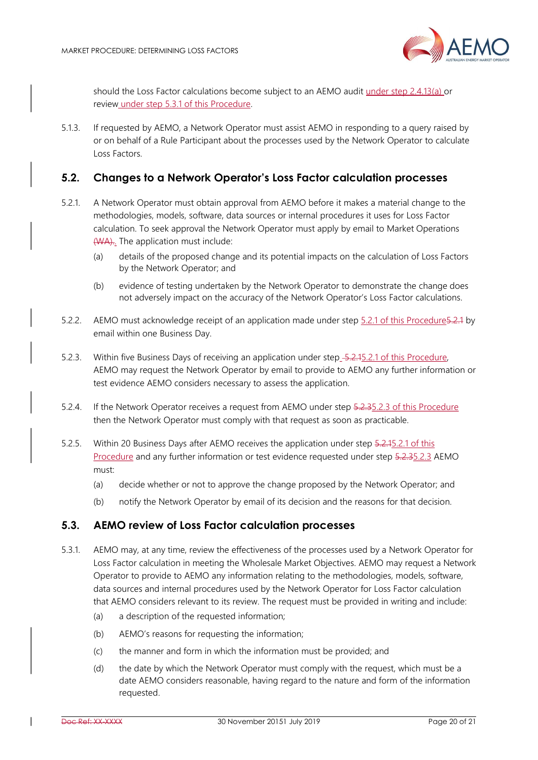

should the Loss Factor calculations become subject to an AEMO audit under step 2.4.13(a) or review under step 5.3.1 of this Procedure.

5.1.3. If requested by AEMO, a Network Operator must assist AEMO in responding to a query raised by or on behalf of a Rule Participant about the processes used by the Network Operator to calculate Loss Factors.

#### 5.2. Changes to a Network Operator's Loss Factor calculation processes

- 5.2.1. A Network Operator must obtain approval from AEMO before it makes a material change to the methodologies, models, software, data sources or internal procedures it uses for Loss Factor calculation. To seek approval the Network Operator must apply by email to Market Operations (WA).. The application must include:
	- (a) details of the proposed change and its potential impacts on the calculation of Loss Factors by the Network Operator; and
	- (b) evidence of testing undertaken by the Network Operator to demonstrate the change does not adversely impact on the accuracy of the Network Operator's Loss Factor calculations.
- 5.2.2. AEMO must acknowledge receipt of an application made under step 5.2.1 of this Procedure5.2.1 by email within one Business Day.
- 5.2.3. Within five Business Days of receiving an application under step 5.2.45.2.1 of this Procedure, AEMO may request the Network Operator by email to provide to AEMO any further information or test evidence AEMO considers necessary to assess the application.
- 5.2.4. If the Network Operator receives a request from AEMO under step 5.2.35.2.3 of this Procedure then the Network Operator must comply with that request as soon as practicable.
- 5.2.5. Within 20 Business Days after AEMO receives the application under step 5.2.15.2.1 of this Procedure and any further information or test evidence requested under step 5.2.35.2.3 AEMO must:
	- (a) decide whether or not to approve the change proposed by the Network Operator; and
	- (b) notify the Network Operator by email of its decision and the reasons for that decision.

## 5.3. AEMO review of Loss Factor calculation processes

- 5.3.1. AEMO may, at any time, review the effectiveness of the processes used by a Network Operator for Loss Factor calculation in meeting the Wholesale Market Objectives. AEMO may request a Network Operator to provide to AEMO any information relating to the methodologies, models, software, data sources and internal procedures used by the Network Operator for Loss Factor calculation that AEMO considers relevant to its review. The request must be provided in writing and include:
	- (a) a description of the requested information;
	- (b) AEMO's reasons for requesting the information;
	- (c) the manner and form in which the information must be provided; and
	- (d) the date by which the Network Operator must comply with the request, which must be a date AEMO considers reasonable, having regard to the nature and form of the information requested.